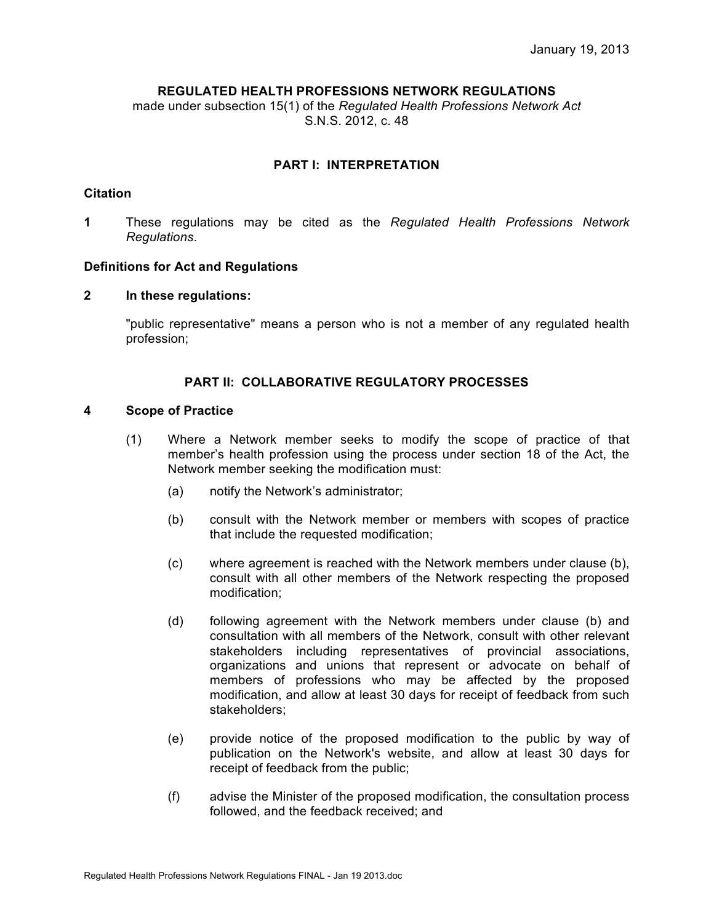# **REGULATED HEALTH PROFESSIONS NETWORK REGULATIONS**

made under subsection 15(1) of the *Regulated Health Professions Network Act* S.N.S. 2012, c. 48

# **PART I: INTERPRETATION**

#### **Citation**

**1** These regulations may be cited as the *Regulated Health Professions Network Regulations*.

# **Definitions for Act and Regulations**

# **2 In these regulations:**

"public representative" means a person who is not a member of any regulated health profession;

# **PART II: COLLABORATIVE REGULATORY PROCESSES**

# **4 Scope of Practice**

- (1) Where a Network member seeks to modify the scope of practice of that member's health profession using the process under section 18 of the Act, the Network member seeking the modification must:
	- (a) notify the Network's administrator;
	- (b) consult with the Network member or members with scopes of practice that include the requested modification;
	- (c) where agreement is reached with the Network members under clause (b), consult with all other members of the Network respecting the proposed modification;
	- (d) following agreement with the Network members under clause (b) and consultation with all members of the Network, consult with other relevant stakeholders including representatives of provincial associations, organizations and unions that represent or advocate on behalf of members of professions who may be affected by the proposed modification, and allow at least 30 days for receipt of feedback from such stakeholders;
	- (e) provide notice of the proposed modification to the public by way of publication on the Network's website, and allow at least 30 days for receipt of feedback from the public;
	- (f) advise the Minister of the proposed modification, the consultation process followed, and the feedback received; and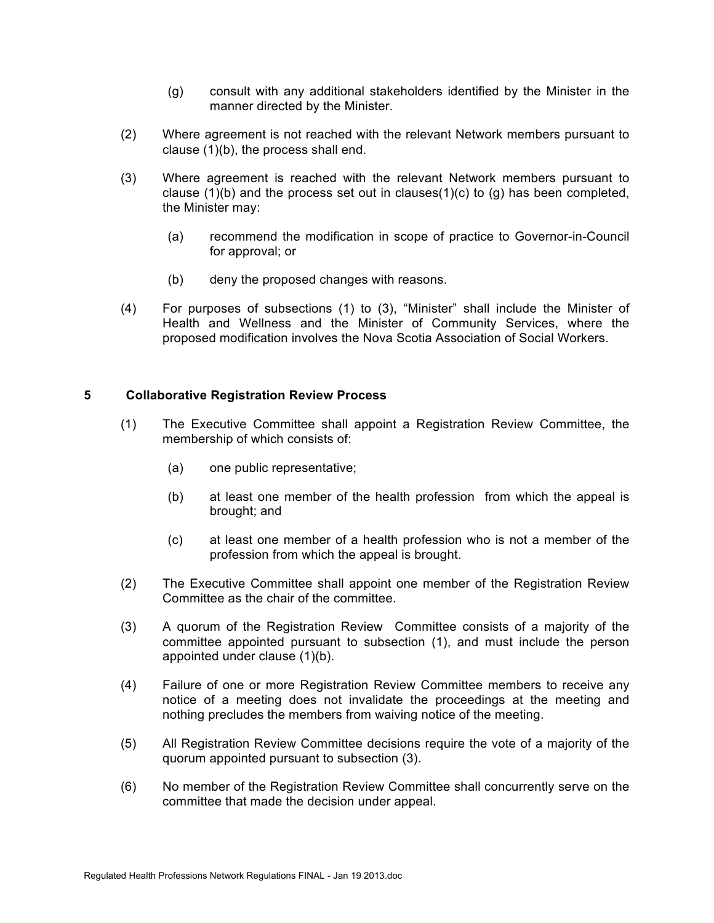- (g) consult with any additional stakeholders identified by the Minister in the manner directed by the Minister.
- (2) Where agreement is not reached with the relevant Network members pursuant to clause (1)(b), the process shall end.
- (3) Where agreement is reached with the relevant Network members pursuant to clause  $(1)(b)$  and the process set out in clauses $(1)(c)$  to  $(q)$  has been completed, the Minister may:
	- (a) recommend the modification in scope of practice to Governor-in-Council for approval; or
	- (b) deny the proposed changes with reasons.
- (4) For purposes of subsections (1) to (3), "Minister" shall include the Minister of Health and Wellness and the Minister of Community Services, where the proposed modification involves the Nova Scotia Association of Social Workers.

# **5 Collaborative Registration Review Process**

- (1) The Executive Committee shall appoint a Registration Review Committee, the membership of which consists of:
	- (a) one public representative;
	- (b) at least one member of the health profession from which the appeal is brought; and
	- (c) at least one member of a health profession who is not a member of the profession from which the appeal is brought.
- (2) The Executive Committee shall appoint one member of the Registration Review Committee as the chair of the committee.
- (3) A quorum of the Registration Review Committee consists of a majority of the committee appointed pursuant to subsection (1), and must include the person appointed under clause (1)(b).
- (4) Failure of one or more Registration Review Committee members to receive any notice of a meeting does not invalidate the proceedings at the meeting and nothing precludes the members from waiving notice of the meeting.
- (5) All Registration Review Committee decisions require the vote of a majority of the quorum appointed pursuant to subsection (3).
- (6) No member of the Registration Review Committee shall concurrently serve on the committee that made the decision under appeal.